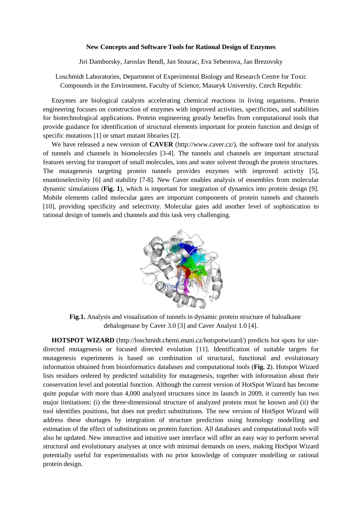## **New Concepts and Software Tools for Rational Design of Enzymes**

Jiri Damborsky, Jaroslav Bendl, Jan Stourac, Eva Sebestova, Jan Brezovsky

Loschmidt Laboratories, Department of Experimental Biology and Research Centre for Toxic Compounds in the Environment, Faculty of Science, Masaryk University, Czech Republic

Enzymes are biological catalysts accelerating chemical reactions in living organisms. Protein engineering focuses on construction of enzymes with improved activities, specificities, and stabilities for biotechnological applications. Protein engineering greatly benefits from computational tools that provide guidance for identification of structural elements important for protein function and design of specific mutations [1] or smart mutant libraries [2].

We have released a new version of **CAVER** (http://www.caver.cz/), the software tool for analysis of tunnels and channels in biomolecules [3-4]. The tunnels and channels are important structural features serving for transport of small molecules, ions and water solvent through the protein structures. The mutagenesis targeting protein tunnels provides enzymes with improved activity [5], enantioselectivity [6] and stability [7-8]. New Caver enables analysis of ensembles from molecular dynamic simulations (**Fig. 1**), which is important for integration of dynamics into protein design [9]. Mobile elements called molecular gates are important components of protein tunnels and channels [10], providing specificity and selectivity. Molecular gates add another level of sophistication to rational design of tunnels and channels and this task very challenging.



**Fig.1.** Analysis and visualization of tunnels in dynamic protein structure of haloalkane dehalogenase by Caver 3.0 [3] and Caver Analyst 1.0 [4].

**HOTSPOT WIZARD** (http://loschmidt.chemi.muni.cz/hotspotwizard/) predicts hot spots for sitedirected mutagenesis or focused directed evolution [11]. Identification of suitable targets for mutagenesis experiments is based on combination of structural, functional and evolutionary information obtained from bioinformatics databases and computational tools (**Fig. 2**). Hotspot Wizard lists residues ordered by predicted suitability for mutagenesis, together with information about their conservation level and potential function. Although the current version of HotSpot Wizard has become quite popular with more than 4,000 analyzed structures since its launch in 2009, it currently has two major limitations: (i) the three-dimensional structure of analyzed protein must be known and (ii) the tool identifies positions, but does not predict substitutions. The new version of HotSpot Wizard will address these shortages by integration of structure prediction using homology modelling and estimation of the effect of substitutions on protein function. All databases and computational tools will also be updated. New interactive and intuitive user interface will offer an easy way to perform several structural and evolutionary analyses at once with minimal demands on users, making HotSpot Wizard potentially useful for experimentalists with no prior knowledge of computer modelling or rational protein design.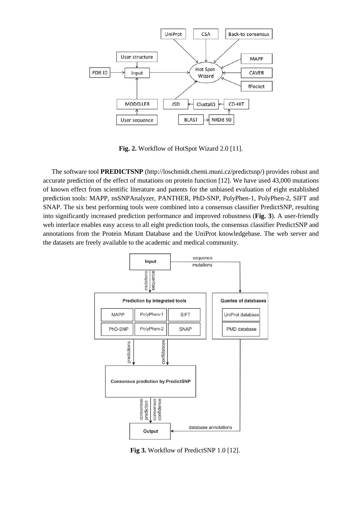

**Fig. 2.** Workflow of HotSpot Wizard 2.0 [11].

The software tool **PREDICTSNP** (http://loschmidt.chemi.muni.cz/predictsnp/) provides robust and accurate prediction of the effect of mutations on protein function [12]. We have used 43,000 mutations of known effect from scientific literature and patents for the unbiased evaluation of eight established prediction tools: MAPP, nsSNPAnalyzer, PANTHER, PhD-SNP, PolyPhen-1, PolyPhen-2, SIFT and SNAP. The six best performing tools were combined into a consensus classifier PredictSNP, resulting into significantly increased prediction performance and improved robustness (**Fig. 3**). A user-friendly web interface enables easy access to all eight prediction tools, the consensus classifier PredictSNP and annotations from the Protein Mutant Database and the UniProt knowledgebase. The web server and the datasets are freely available to the academic and medical community.



**Fig 3.** Workflow of PredictSNP 1.0 [12].